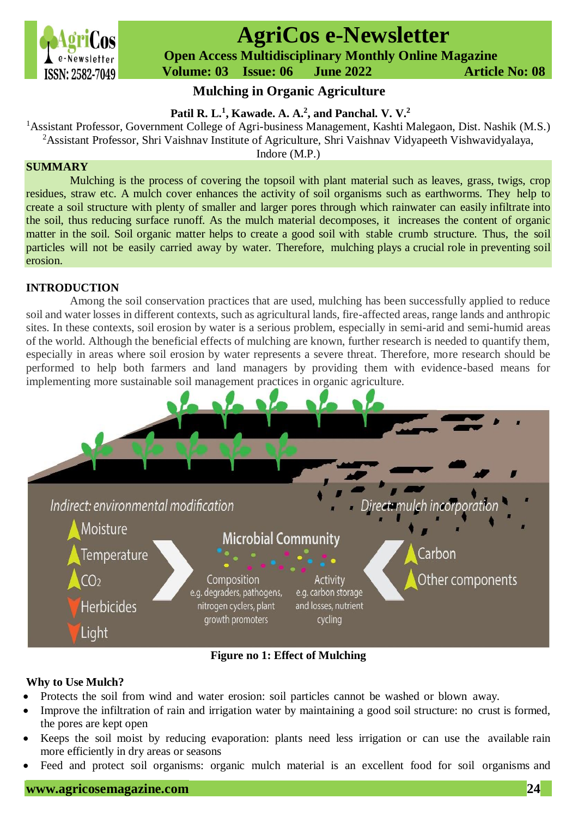

# **AgriCos e-Newsletter**

 **Open Access Multidisciplinary Monthly Online Magazine**

 **Volume: 03 Issue: 06 June 2022 Article No: 08**

## **Mulching in Organic Agriculture**

## **Patil R. L. 1 , Kawade. A. A.<sup>2</sup> , and Panchal. V. V.<sup>2</sup>**

<sup>1</sup>Assistant Professor, Government College of Agri-business Management, Kashti Malegaon, Dist. Nashik (M.S.) <sup>2</sup>Assistant Professor, Shri Vaishnav Institute of Agriculture, Shri Vaishnav Vidyapeeth Vishwavidyalaya,

Indore (M.P.)

## **SUMMARY**

Mulching is the process of covering the topsoil with plant material such as leaves, grass, twigs, crop residues, straw etc. A mulch cover enhances the activity of soil organisms such as earthworms. They help to create a soil structure with plenty of smaller and larger pores through which rainwater can easily infiltrate into the soil, thus reducing surface runoff. As the mulch material decomposes, it increases the content of organic matter in the soil. Soil organic matter helps to create a good soil with stable crumb structure. Thus, the soil particles will not be easily carried away by water. Therefore, mulching plays a crucial role in preventing soil erosion.

## **INTRODUCTION**

Among the soil conservation practices that are used, mulching has been successfully applied to reduce soil and water losses in different contexts, such as agricultural lands, fire-affected areas, range lands and anthropic sites. In these contexts, soil erosion by water is a serious problem, especially in semi-arid and semi-humid areas of the world. Although the beneficial effects of mulching are known, further research is needed to quantify them, especially in areas where soil erosion by water represents a severe threat. Therefore, more research should be performed to help both farmers and land managers by providing them with evidence-based means for implementing more sustainable soil management practices in organic agriculture.



**Figure no 1: Effect of Mulching**

## **Why to Use Mulch?**

- Protects the soil from wind and water erosion: soil particles cannot be washed or blown away.
- Improve the infiltration of rain and irrigation water by maintaining a good soil structure: no crust is formed, the pores are kept open
- Keeps the soil moist by reducing evaporation: plants need less irrigation or can use the available rain more efficiently in dry areas or seasons
- Feed and protect soil organisms: organic mulch material is an excellent food for soil organisms and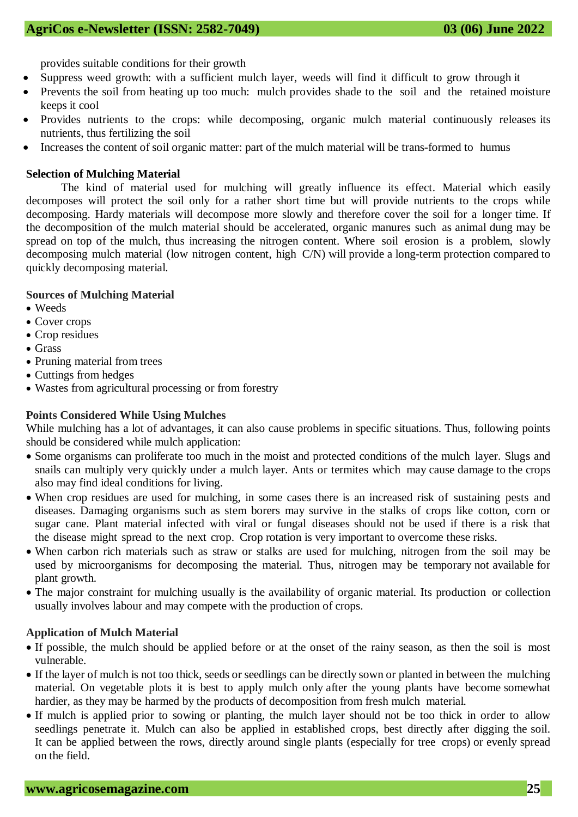provides suitable conditions for their growth

- Suppress weed growth: with a sufficient mulch layer, weeds will find it difficult to grow through it
- Prevents the soil from heating up too much: mulch provides shade to the soil and the retained moisture keeps it cool
- Provides nutrients to the crops: while decomposing, organic mulch material continuously releases its nutrients, thus fertilizing the soil
- Increases the content of soil organic matter: part of the mulch material will be trans-formed to humus

#### **Selection of Mulching Material**

The kind of material used for mulching will greatly influence its effect. Material which easily decomposes will protect the soil only for a rather short time but will provide nutrients to the crops while decomposing. Hardy materials will decompose more slowly and therefore cover the soil for a longer time. If the decomposition of the mulch material should be accelerated, organic manures such as animal dung may be spread on top of the mulch, thus increasing the nitrogen content. Where soil erosion is a problem, slowly decomposing mulch material (low nitrogen content, high C/N) will provide a long-term protection compared to quickly decomposing material.

#### **Sources of Mulching Material**

- Weeds
- Cover crops
- Crop residues
- Grass
- Pruning material from trees
- Cuttings from hedges
- Wastes from agricultural processing or from forestry

#### **Points Considered While Using Mulches**

While mulching has a lot of advantages, it can also cause problems in specific situations. Thus, following points should be considered while mulch application:

- Some organisms can proliferate too much in the moist and protected conditions of the mulch layer. Slugs and snails can multiply very quickly under a mulch layer. Ants or termites which may cause damage to the crops also may find ideal conditions for living.
- When crop residues are used for mulching, in some cases there is an increased risk of sustaining pests and diseases. Damaging organisms such as stem borers may survive in the stalks of crops like cotton, corn or sugar cane. Plant material infected with viral or fungal diseases should not be used if there is a risk that the disease might spread to the next crop. Crop rotation is very important to overcome these risks.
- When carbon rich materials such as straw or stalks are used for mulching, nitrogen from the soil may be used by microorganisms for decomposing the material. Thus, nitrogen may be temporary not available for plant growth.
- The major constraint for mulching usually is the availability of organic material. Its production or collection usually involves labour and may compete with the production of crops.

#### **Application of Mulch Material**

- If possible, the mulch should be applied before or at the onset of the rainy season, as then the soil is most vulnerable.
- If the layer of mulch is not too thick, seeds or seedlings can be directly sown or planted in between the mulching material. On vegetable plots it is best to apply mulch only after the young plants have become somewhat hardier, as they may be harmed by the products of decomposition from fresh mulch material.
- If mulch is applied prior to sowing or planting, the mulch layer should not be too thick in order to allow seedlings penetrate it. Mulch can also be applied in established crops, best directly after digging the soil. It can be applied between the rows, directly around single plants (especially for tree crops) or evenly spread on the field.